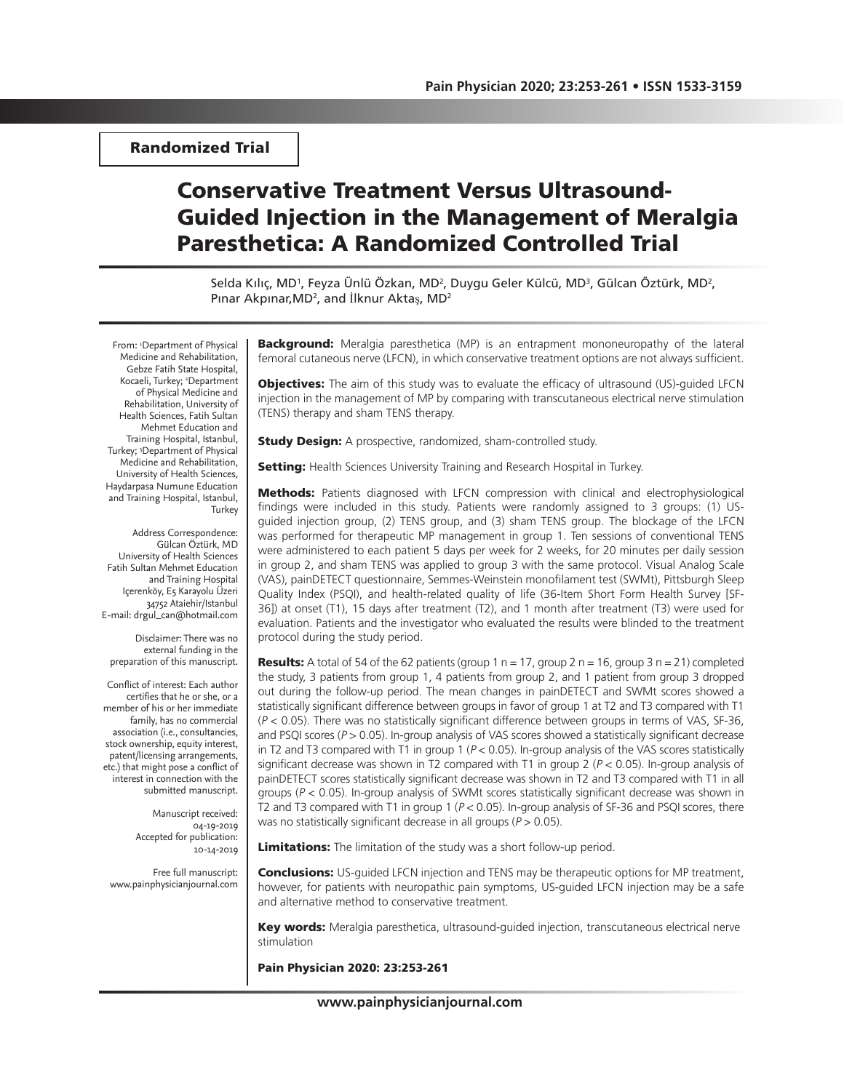Randomized Trial

# Conservative Treatment Versus Ultrasound-Guided Injection in the Management of Meralgia Paresthetica: A Randomized Controlled Trial

Selda Kılıç, MD', Feyza Ünlü Özkan, MD<sup>2</sup>, Duygu Geler Külcü, MD<sup>3</sup>, Gülcan Öztürk, MD<sup>2</sup>, Pınar Akpınar,MD<sup>2</sup>, and İlknur Aktaş, MD<sup>2</sup>

From: <sup>1</sup>Department of Physical Medicine and Rehabilitation, Gebze Fatih State Hospital, Kocaeli, Turkey; <sup>2</sup>Department of Physical Medicine and Rehabilitation, University of Health Sciences, Fatih Sultan Mehmet Education and Training Hospital, Istanbul, Turkey; 3 Department of Physical Medicine and Rehabilitation, University of Health Sciences, Haydarpasa Numune Education and Training Hospital, Istanbul, Turkey

Address Correspondence: Gülcan Öztürk, MD University of Health Sciences Fatih Sultan Mehmet Education and Training Hospital Içerenköy, E5 Karayolu Üzeri 34752 Ataiehir/Istanbul E-mail: drgul\_can@hotmail.com

Disclaimer: There was no external funding in the preparation of this manuscript.

Conflict of interest: Each author certifies that he or she, or a member of his or her immediate family, has no commercial association (i.e., consultancies, stock ownership, equity interest, patent/licensing arrangements, etc.) that might pose a conflict of interest in connection with the submitted manuscript.

> Manuscript received: 04-19-2019 Accepted for publication: 10-14-2019

Free full manuscript: www.painphysicianjournal.com **Background:** Meralgia paresthetica (MP) is an entrapment mononeuropathy of the lateral femoral cutaneous nerve (LFCN), in which conservative treatment options are not always sufficient.

**Objectives:** The aim of this study was to evaluate the efficacy of ultrasound (US)-guided LFCN injection in the management of MP by comparing with transcutaneous electrical nerve stimulation (TENS) therapy and sham TENS therapy.

**Study Design:** A prospective, randomized, sham-controlled study.

**Setting:** Health Sciences University Training and Research Hospital in Turkey.

Methods: Patients diagnosed with LFCN compression with clinical and electrophysiological findings were included in this study. Patients were randomly assigned to 3 groups: (1) USguided injection group, (2) TENS group, and (3) sham TENS group. The blockage of the LFCN was performed for therapeutic MP management in group 1. Ten sessions of conventional TENS were administered to each patient 5 days per week for 2 weeks, for 20 minutes per daily session in group 2, and sham TENS was applied to group 3 with the same protocol. Visual Analog Scale (VAS), painDETECT questionnaire, Semmes-Weinstein monofilament test (SWMt), Pittsburgh Sleep Quality Index (PSQI), and health-related quality of life (36-Item Short Form Health Survey [SF-36]) at onset (T1), 15 days after treatment (T2), and 1 month after treatment (T3) were used for evaluation. Patients and the investigator who evaluated the results were blinded to the treatment protocol during the study period.

**Results:** A total of 54 of the 62 patients (group 1  $n = 17$ , group 2  $n = 16$ , group 3  $n = 21$ ) completed the study, 3 patients from group 1, 4 patients from group 2, and 1 patient from group 3 dropped out during the follow-up period. The mean changes in painDETECT and SWMt scores showed a statistically significant difference between groups in favor of group 1 at T2 and T3 compared with T1  $(P < 0.05)$ . There was no statistically significant difference between groups in terms of VAS, SF-36, and PSQI scores ( $P > 0.05$ ). In-group analysis of VAS scores showed a statistically significant decrease in T2 and T3 compared with T1 in group 1 ( $P < 0.05$ ). In-group analysis of the VAS scores statistically significant decrease was shown in T2 compared with T1 in group 2 ( $P < 0.05$ ). In-group analysis of painDETECT scores statistically significant decrease was shown in T2 and T3 compared with T1 in all groups ( $P < 0.05$ ). In-group analysis of SWMt scores statistically significant decrease was shown in T2 and T3 compared with T1 in group  $1 (P < 0.05)$ . In-group analysis of SF-36 and PSQI scores, there was no statistically significant decrease in all groups ( $P > 0.05$ ).

Limitations: The limitation of the study was a short follow-up period.

**Conclusions:** US-quided LFCN injection and TENS may be therapeutic options for MP treatment, however, for patients with neuropathic pain symptoms, US-guided LFCN injection may be a safe and alternative method to conservative treatment.

Key words: Meralgia paresthetica, ultrasound-guided injection, transcutaneous electrical nerve stimulation

Pain Physician 2020: 23:253-261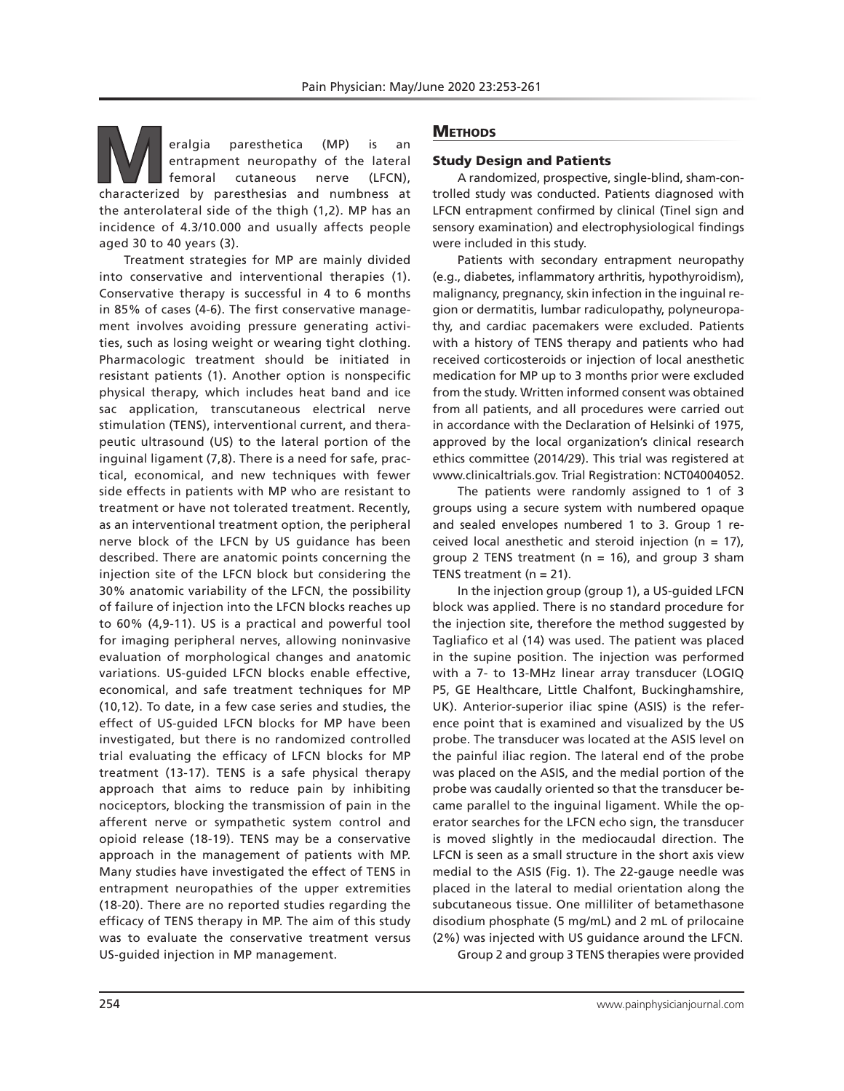**Manufar Continuity of the lateral entrapment neuropathy of the lateral femoral cutaneous nerve (LFCN), characterized by paresthesias and numbness at** entrapment neuropathy of the lateral femoral cutaneous nerve (LFCN), the anterolateral side of the thigh (1,2). MP has an incidence of 4.3/10.000 and usually affects people aged 30 to 40 years (3).

Treatment strategies for MP are mainly divided into conservative and interventional therapies (1). Conservative therapy is successful in 4 to 6 months in 85% of cases (4-6). The first conservative management involves avoiding pressure generating activities, such as losing weight or wearing tight clothing. Pharmacologic treatment should be initiated in resistant patients (1). Another option is nonspecific physical therapy, which includes heat band and ice sac application, transcutaneous electrical nerve stimulation (TENS), interventional current, and therapeutic ultrasound (US) to the lateral portion of the inguinal ligament (7,8). There is a need for safe, practical, economical, and new techniques with fewer side effects in patients with MP who are resistant to treatment or have not tolerated treatment. Recently, as an interventional treatment option, the peripheral nerve block of the LFCN by US guidance has been described. There are anatomic points concerning the injection site of the LFCN block but considering the 30% anatomic variability of the LFCN, the possibility of failure of injection into the LFCN blocks reaches up to 60% (4,9-11). US is a practical and powerful tool for imaging peripheral nerves, allowing noninvasive evaluation of morphological changes and anatomic variations. US-guided LFCN blocks enable effective, economical, and safe treatment techniques for MP (10,12). To date, in a few case series and studies, the effect of US-guided LFCN blocks for MP have been investigated, but there is no randomized controlled trial evaluating the efficacy of LFCN blocks for MP treatment (13-17). TENS is a safe physical therapy approach that aims to reduce pain by inhibiting nociceptors, blocking the transmission of pain in the afferent nerve or sympathetic system control and opioid release (18-19). TENS may be a conservative approach in the management of patients with MP. Many studies have investigated the effect of TENS in entrapment neuropathies of the upper extremities (18-20). There are no reported studies regarding the efficacy of TENS therapy in MP. The aim of this study was to evaluate the conservative treatment versus US-guided injection in MP management.

# **METHODS**

### Study Design and Patients

A randomized, prospective, single-blind, sham-controlled study was conducted. Patients diagnosed with LFCN entrapment confirmed by clinical (Tinel sign and sensory examination) and electrophysiological findings were included in this study.

Patients with secondary entrapment neuropathy (e.g., diabetes, inflammatory arthritis, hypothyroidism), malignancy, pregnancy, skin infection in the inguinal region or dermatitis, lumbar radiculopathy, polyneuropathy, and cardiac pacemakers were excluded. Patients with a history of TENS therapy and patients who had received corticosteroids or injection of local anesthetic medication for MP up to 3 months prior were excluded from the study. Written informed consent was obtained from all patients, and all procedures were carried out in accordance with the Declaration of Helsinki of 1975, approved by the local organization's clinical research ethics committee (2014/29). This trial was registered at www.clinicaltrials.gov. Trial Registration: NCT04004052.

The patients were randomly assigned to 1 of 3 groups using a secure system with numbered opaque and sealed envelopes numbered 1 to 3. Group 1 received local anesthetic and steroid injection ( $n = 17$ ), group 2 TENS treatment ( $n = 16$ ), and group 3 sham TENS treatment ( $n = 21$ ).

In the injection group (group 1), a US-guided LFCN block was applied. There is no standard procedure for the injection site, therefore the method suggested by Tagliafico et al (14) was used. The patient was placed in the supine position. The injection was performed with a 7- to 13-MHz linear array transducer (LOGIQ P5, GE Healthcare, Little Chalfont, Buckinghamshire, UK). Anterior-superior iliac spine (ASIS) is the reference point that is examined and visualized by the US probe. The transducer was located at the ASIS level on the painful iliac region. The lateral end of the probe was placed on the ASIS, and the medial portion of the probe was caudally oriented so that the transducer became parallel to the inguinal ligament. While the operator searches for the LFCN echo sign, the transducer is moved slightly in the mediocaudal direction. The LFCN is seen as a small structure in the short axis view medial to the ASIS (Fig. 1). The 22-gauge needle was placed in the lateral to medial orientation along the subcutaneous tissue. One milliliter of betamethasone disodium phosphate (5 mg/mL) and 2 mL of prilocaine (2%) was injected with US guidance around the LFCN. Group 2 and group 3 TENS therapies were provided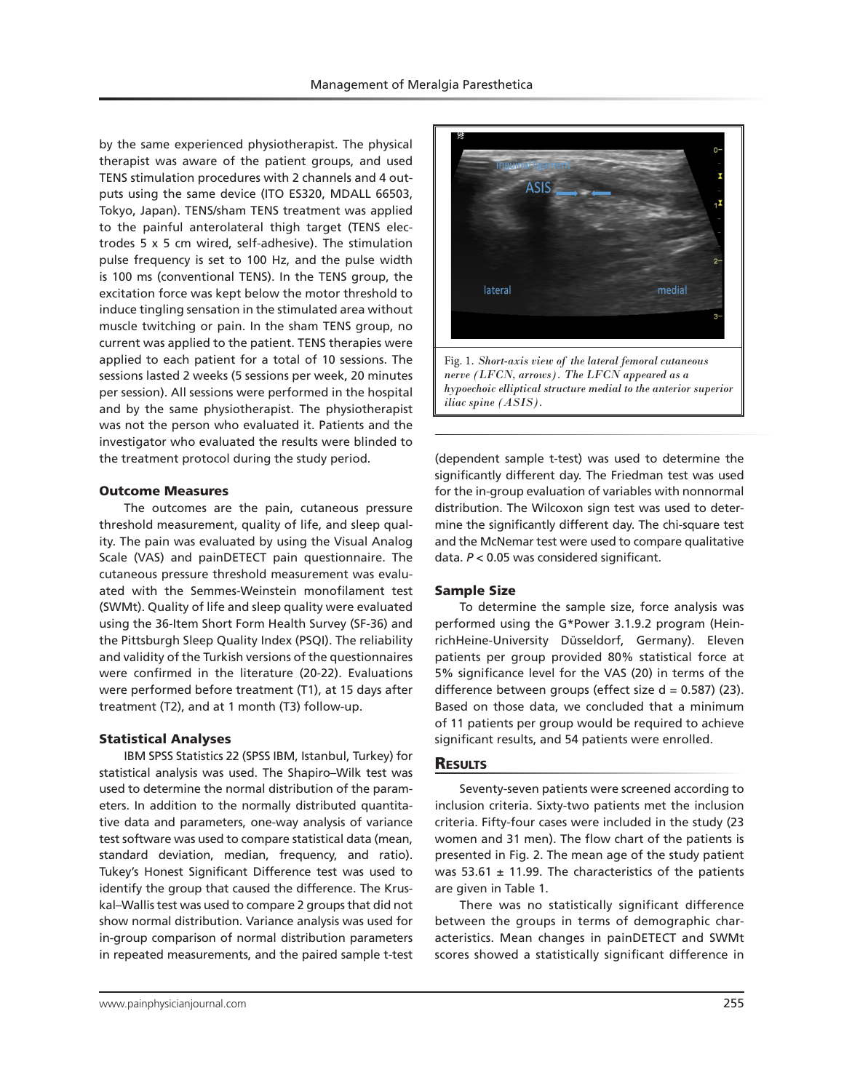by the same experienced physiotherapist. The physical therapist was aware of the patient groups, and used TENS stimulation procedures with 2 channels and 4 outputs using the same device (ITO ES320, MDALL 66503, Tokyo, Japan). TENS/sham TENS treatment was applied to the painful anterolateral thigh target (TENS electrodes 5 x 5 cm wired, self-adhesive). The stimulation pulse frequency is set to 100 Hz, and the pulse width is 100 ms (conventional TENS). In the TENS group, the excitation force was kept below the motor threshold to induce tingling sensation in the stimulated area without muscle twitching or pain. In the sham TENS group, no current was applied to the patient. TENS therapies were applied to each patient for a total of 10 sessions. The sessions lasted 2 weeks (5 sessions per week, 20 minutes per session). All sessions were performed in the hospital and by the same physiotherapist. The physiotherapist was not the person who evaluated it. Patients and the investigator who evaluated the results were blinded to the treatment protocol during the study period.

#### Outcome Measures

The outcomes are the pain, cutaneous pressure threshold measurement, quality of life, and sleep quality. The pain was evaluated by using the Visual Analog Scale (VAS) and painDETECT pain questionnaire. The cutaneous pressure threshold measurement was evaluated with the Semmes-Weinstein monofilament test (SWMt). Quality of life and sleep quality were evaluated using the 36-Item Short Form Health Survey (SF-36) and the Pittsburgh Sleep Quality Index (PSQI). The reliability and validity of the Turkish versions of the questionnaires were confirmed in the literature (20-22). Evaluations were performed before treatment (T1), at 15 days after treatment (T2), and at 1 month (T3) follow-up.

#### Statistical Analyses

IBM SPSS Statistics 22 (SPSS IBM, Istanbul, Turkey) for statistical analysis was used. The Shapiro–Wilk test was used to determine the normal distribution of the parameters. In addition to the normally distributed quantitative data and parameters, one-way analysis of variance test software was used to compare statistical data (mean, standard deviation, median, frequency, and ratio). Tukey's Honest Significant Difference test was used to identify the group that caused the difference. The Kruskal–Wallis test was used to compare 2 groups that did not show normal distribution. Variance analysis was used for in-group comparison of normal distribution parameters in repeated measurements, and the paired sample t-test



(dependent sample t-test) was used to determine the significantly different day. The Friedman test was used for the in-group evaluation of variables with nonnormal distribution. The Wilcoxon sign test was used to determine the significantly different day. The chi-square test and the McNemar test were used to compare qualitative data. *P* < 0.05 was considered significant.

#### Sample Size

To determine the sample size, force analysis was performed using the G\*Power 3.1.9.2 program (HeinrichHeine-University Düsseldorf, Germany). Eleven patients per group provided 80% statistical force at 5% significance level for the VAS (20) in terms of the difference between groups (effect size  $d = 0.587$ ) (23). Based on those data, we concluded that a minimum of 11 patients per group would be required to achieve significant results, and 54 patients were enrolled.

# **RESULTS**

Seventy-seven patients were screened according to inclusion criteria. Sixty-two patients met the inclusion criteria. Fifty-four cases were included in the study (23 women and 31 men). The flow chart of the patients is presented in Fig. 2. The mean age of the study patient was 53.61  $\pm$  11.99. The characteristics of the patients are given in Table 1.

There was no statistically significant difference between the groups in terms of demographic characteristics. Mean changes in painDETECT and SWMt scores showed a statistically significant difference in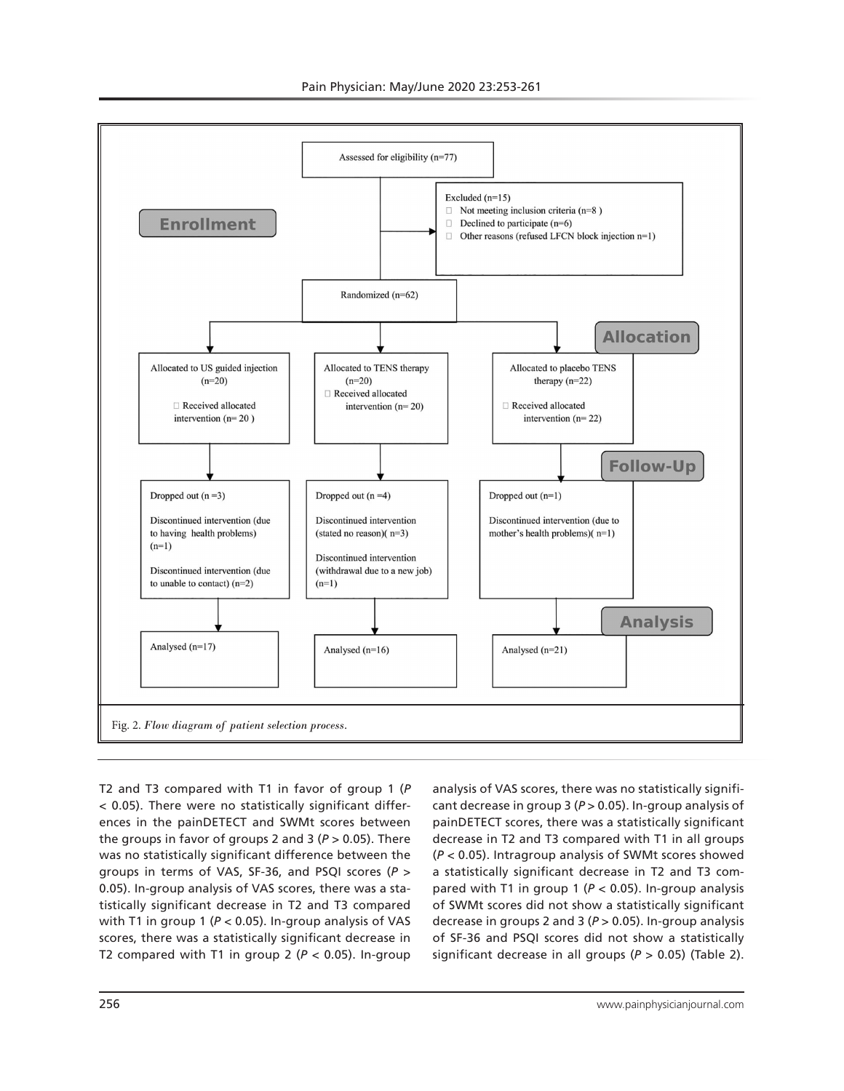

T2 and T3 compared with T1 in favor of group 1 (*P* < 0.05). There were no statistically significant differences in the painDETECT and SWMt scores between the groups in favor of groups 2 and 3 (*P* > 0.05). There was no statistically significant difference between the groups in terms of VAS, SF-36, and PSQI scores (*P* > 0.05). In-group analysis of VAS scores, there was a statistically significant decrease in T2 and T3 compared with T1 in group 1 (*P* < 0.05). In-group analysis of VAS scores, there was a statistically significant decrease in T2 compared with T1 in group  $2$  ( $P < 0.05$ ). In-group

analysis of VAS scores, there was no statistically significant decrease in group 3 (*P* > 0.05). In-group analysis of painDETECT scores, there was a statistically significant decrease in T2 and T3 compared with T1 in all groups (*P* < 0.05). Intragroup analysis of SWMt scores showed a statistically significant decrease in T2 and T3 compared with T1 in group 1 (*P* < 0.05). In-group analysis of SWMt scores did not show a statistically significant decrease in groups 2 and 3 (*P* > 0.05). In-group analysis of SF-36 and PSQI scores did not show a statistically significant decrease in all groups (*P* > 0.05) (Table 2).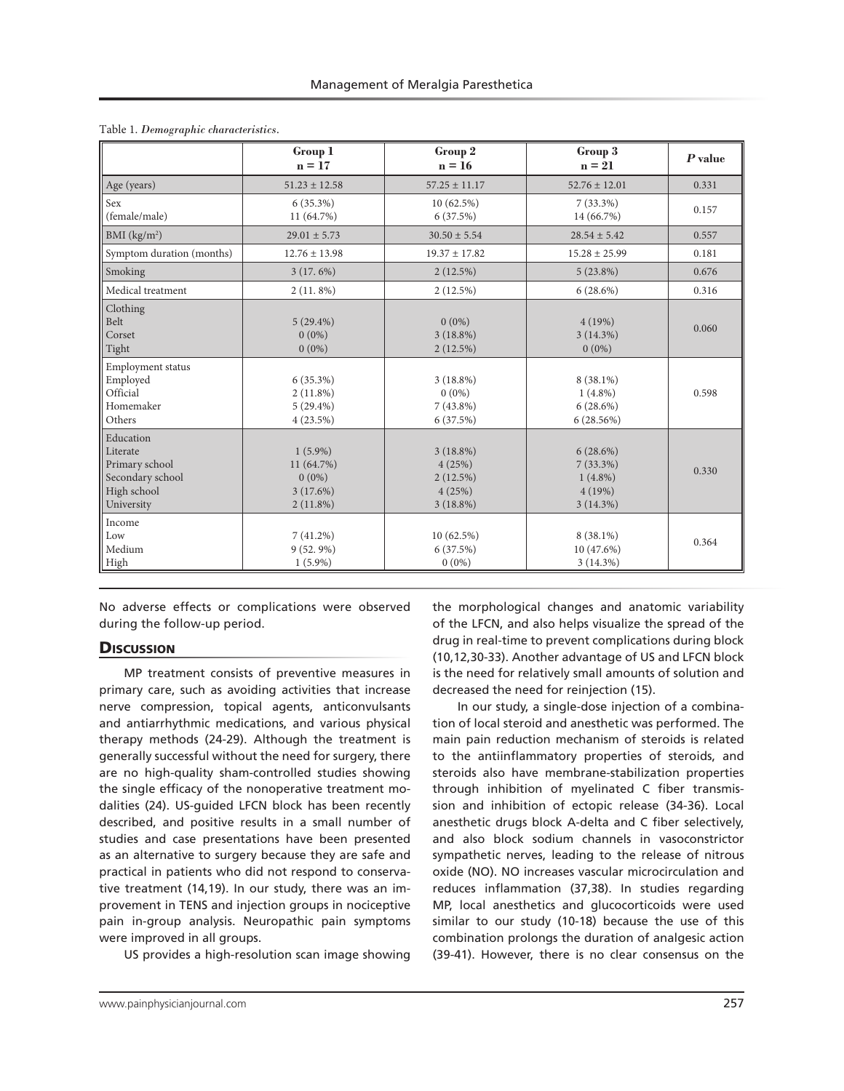|                                                                                          | Group 1<br>$n = 17$                                             | Group 2<br>$n = 16$                                        | Group 3<br>$n = 21$                                               | $P$ value |
|------------------------------------------------------------------------------------------|-----------------------------------------------------------------|------------------------------------------------------------|-------------------------------------------------------------------|-----------|
| Age (years)                                                                              | $51.23 \pm 12.58$                                               | $57.25 \pm 11.17$                                          | $52.76 \pm 12.01$                                                 | 0.331     |
| Sex<br>(female/male)                                                                     | $6(35.3\%)$<br>11 (64.7%)                                       | 10(62.5%)<br>6(37.5%)                                      | $7(33.3\%)$<br>14 (66.7%)                                         | 0.157     |
| BMI $(kg/m2)$                                                                            | $29.01 \pm 5.73$                                                | $30.50 \pm 5.54$                                           | $28.54 \pm 5.42$                                                  | 0.557     |
| Symptom duration (months)                                                                | $12.76 \pm 13.98$                                               | $19.37 \pm 17.82$                                          | $15.28 \pm 25.99$                                                 | 0.181     |
| Smoking                                                                                  | 3(17.6%)                                                        | 2(12.5%)                                                   | $5(23.8\%)$                                                       | 0.676     |
| Medical treatment                                                                        | $2(11.8\%)$                                                     | $2(12.5\%)$                                                | $6(28.6\%)$                                                       | 0.316     |
| Clothing<br>Belt<br>Corset<br>Tight                                                      | $5(29.4\%)$<br>$0(0\%)$<br>$0(0\%)$                             | $0(0\%)$<br>$3(18.8\%)$<br>2(12.5%)                        | 4(19%)<br>$3(14.3\%)$<br>$0(0\%)$                                 | 0.060     |
| Employment status<br>Employed<br>Official<br>Homemaker<br>Others                         | $6(35.3\%)$<br>$2(11.8\%)$<br>$5(29.4\%)$<br>4(23.5%)           | $3(18.8\%)$<br>$0(0\%)$<br>$7(43.8\%)$<br>6(37.5%)         | 8 (38.1%)<br>$1(4.8\%)$<br>$6(28.6\%)$<br>$6(28.56\%)$            | 0.598     |
| Education<br>Literate<br>Primary school<br>Secondary school<br>High school<br>University | $1(5.9\%)$<br>11 (64.7%)<br>$0(0\%)$<br>3(17.6%)<br>$2(11.8\%)$ | $3(18.8\%)$<br>4(25%)<br>2(12.5%)<br>4(25%)<br>$3(18.8\%)$ | $6(28.6\%)$<br>$7(33.3\%)$<br>$1(4.8\%)$<br>4(19%)<br>$3(14.3\%)$ | 0.330     |
| Income<br>Low<br>Medium<br>High                                                          | $7(41.2\%)$<br>$9(52, 9\%)$<br>$1(5.9\%)$                       | 10(62.5%)<br>6(37.5%)<br>$0(0\%)$                          | 8 (38.1%)<br>10 (47.6%)<br>$3(14.3\%)$                            | 0.364     |

No adverse effects or complications were observed during the follow-up period.

## **Discussion**

MP treatment consists of preventive measures in primary care, such as avoiding activities that increase nerve compression, topical agents, anticonvulsants and antiarrhythmic medications, and various physical therapy methods (24-29). Although the treatment is generally successful without the need for surgery, there are no high-quality sham-controlled studies showing the single efficacy of the nonoperative treatment modalities (24). US-guided LFCN block has been recently described, and positive results in a small number of studies and case presentations have been presented as an alternative to surgery because they are safe and practical in patients who did not respond to conservative treatment (14,19). In our study, there was an improvement in TENS and injection groups in nociceptive pain in-group analysis. Neuropathic pain symptoms were improved in all groups.

US provides a high-resolution scan image showing

the morphological changes and anatomic variability of the LFCN, and also helps visualize the spread of the drug in real-time to prevent complications during block (10,12,30-33). Another advantage of US and LFCN block is the need for relatively small amounts of solution and decreased the need for reinjection (15).

In our study, a single-dose injection of a combination of local steroid and anesthetic was performed. The main pain reduction mechanism of steroids is related to the antiinflammatory properties of steroids, and steroids also have membrane-stabilization properties through inhibition of myelinated C fiber transmission and inhibition of ectopic release (34-36). Local anesthetic drugs block A-delta and C fiber selectively, and also block sodium channels in vasoconstrictor sympathetic nerves, leading to the release of nitrous oxide (NO). NO increases vascular microcirculation and reduces inflammation (37,38). In studies regarding MP, local anesthetics and glucocorticoids were used similar to our study (10-18) because the use of this combination prolongs the duration of analgesic action (39-41). However, there is no clear consensus on the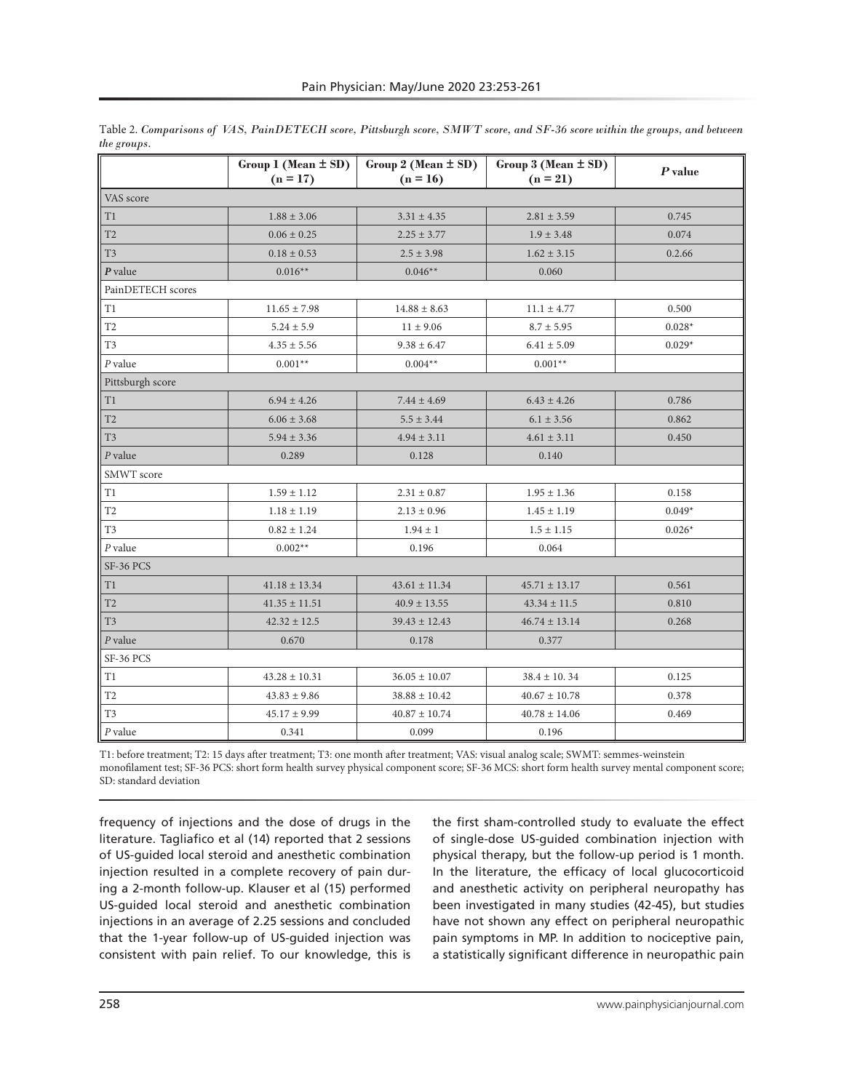|                   | Group 1 (Mean $\pm$ SD)<br>$(n = 17)$ | Group $2$ (Mean $\pm$ SD)<br>$(n = 16)$ | Group 3 (Mean ± SD)<br>$(n = 21)$ | $P$ value |  |  |  |  |
|-------------------|---------------------------------------|-----------------------------------------|-----------------------------------|-----------|--|--|--|--|
| VAS score         |                                       |                                         |                                   |           |  |  |  |  |
| T1                | $1.88 \pm 3.06$                       | $3.31 \pm 4.35$                         | $2.81 \pm 3.59$                   | 0.745     |  |  |  |  |
| T <sub>2</sub>    | $0.06 \pm 0.25$                       | $2.25 \pm 3.77$                         | $1.9 \pm 3.48$                    | 0.074     |  |  |  |  |
| T <sub>3</sub>    | $0.18 \pm 0.53$                       | $2.5 \pm 3.98$                          | $1.62 \pm 3.15$                   | 0.2.66    |  |  |  |  |
| $P$ value         | $0.016**$                             | $0.046**$                               | 0.060                             |           |  |  |  |  |
| PainDETECH scores |                                       |                                         |                                   |           |  |  |  |  |
| T1                | $11.65 \pm 7.98$                      | $14.88 \pm 8.63$                        | $11.1 \pm 4.77$                   | 0.500     |  |  |  |  |
| T <sub>2</sub>    | $5.24 \pm 5.9$                        | $11 \pm 9.06$                           | $8.7 \pm 5.95$                    | $0.028*$  |  |  |  |  |
| T <sub>3</sub>    | $4.35 \pm 5.56$                       | $9.38 \pm 6.47$                         | $6.41 \pm 5.09$                   | $0.029*$  |  |  |  |  |
| $P$ value         | $0.001**$                             | $0.004**$                               | $0.001**$                         |           |  |  |  |  |
| Pittsburgh score  |                                       |                                         |                                   |           |  |  |  |  |
| T1                | $6.94 \pm 4.26$                       | $7.44 \pm 4.69$                         | $6.43 \pm 4.26$                   | 0.786     |  |  |  |  |
| T <sub>2</sub>    | $6.06 \pm 3.68$                       | $5.5 \pm 3.44$                          | $6.1 \pm 3.56$                    | 0.862     |  |  |  |  |
| T <sub>3</sub>    | $5.94 \pm 3.36$                       | $4.94 \pm 3.11$                         | $4.61 \pm 3.11$                   | 0.450     |  |  |  |  |
| $P$ value         | 0.289                                 | 0.128                                   | 0.140                             |           |  |  |  |  |
| SMWT score        |                                       |                                         |                                   |           |  |  |  |  |
| T1                | $1.59 \pm 1.12$                       | $2.31 \pm 0.87$                         | $1.95 \pm 1.36$                   | 0.158     |  |  |  |  |
| T <sub>2</sub>    | $1.18 \pm 1.19$                       | $2.13 \pm 0.96$                         | $1.45 \pm 1.19$                   | $0.049*$  |  |  |  |  |
| T <sub>3</sub>    | $0.82 \pm 1.24$                       | $1.94 \pm 1$                            | $1.5 \pm 1.15$                    | $0.026*$  |  |  |  |  |
| $P$ value         | $0.002**$                             | 0.196                                   | 0.064                             |           |  |  |  |  |
| SF-36 PCS         |                                       |                                         |                                   |           |  |  |  |  |
| T1                | $41.18 \pm 13.34$                     | $43.61 \pm 11.34$                       | $45.71 \pm 13.17$                 | 0.561     |  |  |  |  |
| T2                | $41.35 \pm 11.51$                     | $40.9 \pm 13.55$                        | $43.34 \pm 11.5$                  | 0.810     |  |  |  |  |
| T <sub>3</sub>    | $42.32 \pm 12.5$                      | $39.43 \pm 12.43$                       | $46.74 \pm 13.14$                 | 0.268     |  |  |  |  |
| $P$ value         | 0.670                                 | 0.178                                   | 0.377                             |           |  |  |  |  |
| SF-36 PCS         |                                       |                                         |                                   |           |  |  |  |  |
| T1                | $43.28 \pm 10.31$                     | $36.05 \pm 10.07$                       | $38.4 \pm 10.34$                  | 0.125     |  |  |  |  |
| T2                | $43.83 \pm 9.86$                      | $38.88 \pm 10.42$                       | $40.67 \pm 10.78$                 | 0.378     |  |  |  |  |
| T <sub>3</sub>    | $45.17 \pm 9.99$                      | $40.87 \pm 10.74$                       | $40.78 \pm 14.06$                 | 0.469     |  |  |  |  |
| $P$ value         | 0.341                                 | 0.099                                   | 0.196                             |           |  |  |  |  |

| Table 2. Comparisons of VAS, PainDETECH score, Pittsburgh score, SMWT score, and SF-36 score within the groups, and between |  |  |  |  |
|-----------------------------------------------------------------------------------------------------------------------------|--|--|--|--|
| the groups.                                                                                                                 |  |  |  |  |

T1: before treatment; T2: 15 days after treatment; T3: one month after treatment; VAS: visual analog scale; SWMT: semmes-weinstein monofilament test; SF-36 PCS: short form health survey physical component score; SF-36 MCS: short form health survey mental component score; SD: standard deviation

frequency of injections and the dose of drugs in the literature. Tagliafico et al (14) reported that 2 sessions of US-guided local steroid and anesthetic combination injection resulted in a complete recovery of pain during a 2-month follow-up. Klauser et al (15) performed US-guided local steroid and anesthetic combination injections in an average of 2.25 sessions and concluded that the 1-year follow-up of US-guided injection was consistent with pain relief. To our knowledge, this is the first sham-controlled study to evaluate the effect of single-dose US-guided combination injection with physical therapy, but the follow-up period is 1 month. In the literature, the efficacy of local glucocorticoid and anesthetic activity on peripheral neuropathy has been investigated in many studies (42-45), but studies have not shown any effect on peripheral neuropathic pain symptoms in MP. In addition to nociceptive pain, a statistically significant difference in neuropathic pain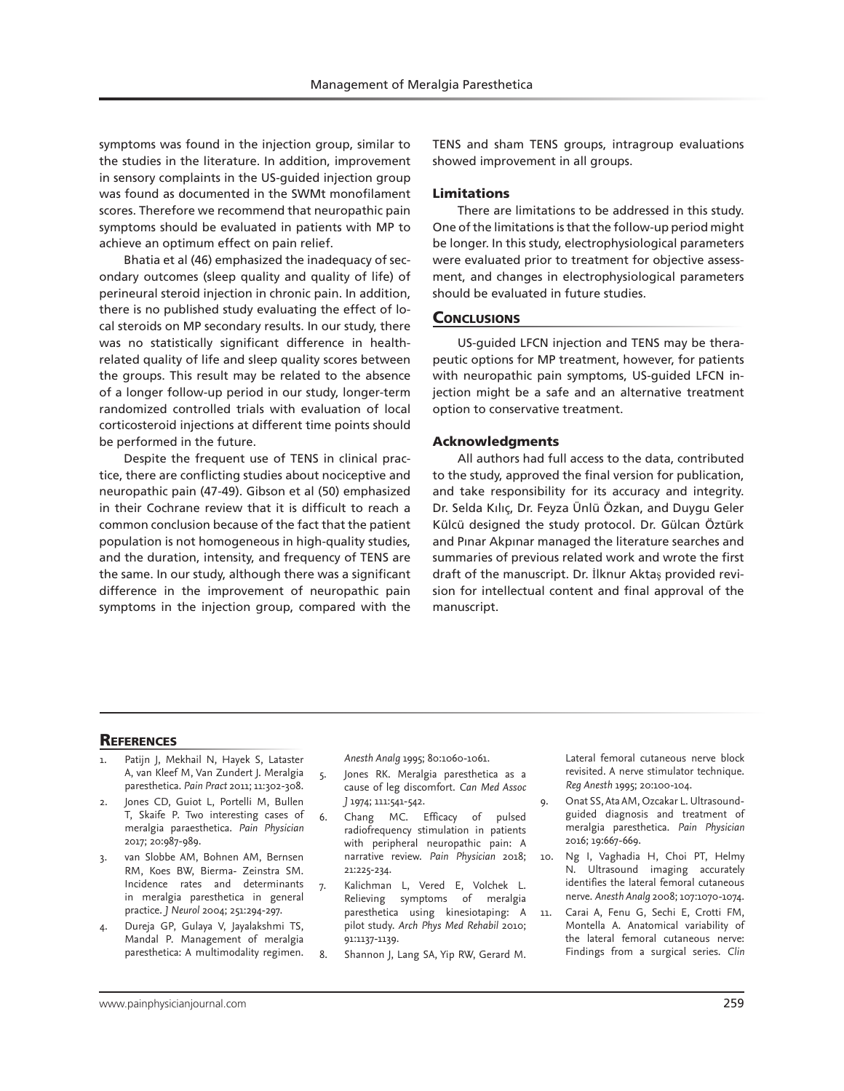symptoms was found in the injection group, similar to the studies in the literature. In addition, improvement in sensory complaints in the US-guided injection group was found as documented in the SWMt monofilament scores. Therefore we recommend that neuropathic pain symptoms should be evaluated in patients with MP to achieve an optimum effect on pain relief.

Bhatia et al (46) emphasized the inadequacy of secondary outcomes (sleep quality and quality of life) of perineural steroid injection in chronic pain. In addition, there is no published study evaluating the effect of local steroids on MP secondary results. In our study, there was no statistically significant difference in healthrelated quality of life and sleep quality scores between the groups. This result may be related to the absence of a longer follow-up period in our study, longer-term randomized controlled trials with evaluation of local corticosteroid injections at different time points should be performed in the future.

Despite the frequent use of TENS in clinical practice, there are conflicting studies about nociceptive and neuropathic pain (47-49). Gibson et al (50) emphasized in their Cochrane review that it is difficult to reach a common conclusion because of the fact that the patient population is not homogeneous in high-quality studies, and the duration, intensity, and frequency of TENS are the same. In our study, although there was a significant difference in the improvement of neuropathic pain symptoms in the injection group, compared with the

TENS and sham TENS groups, intragroup evaluations showed improvement in all groups.

## Limitations

There are limitations to be addressed in this study. One of the limitations is that the follow-up period might be longer. In this study, electrophysiological parameters were evaluated prior to treatment for objective assessment, and changes in electrophysiological parameters should be evaluated in future studies.

#### **CONCLUSIONS**

US-guided LFCN injection and TENS may be therapeutic options for MP treatment, however, for patients with neuropathic pain symptoms, US-guided LFCN injection might be a safe and an alternative treatment option to conservative treatment.

#### Acknowledgments

All authors had full access to the data, contributed to the study, approved the final version for publication, and take responsibility for its accuracy and integrity. Dr. Selda Kılıç, Dr. Feyza Ünlü Özkan, and Duygu Geler Külcü designed the study protocol. Dr. Gülcan Öztürk and Pınar Akpınar managed the literature searches and summaries of previous related work and wrote the first draft of the manuscript. Dr. İlknur Aktaş provided revision for intellectual content and final approval of the manuscript.

## **REFERENCES**

- Patijn J, Mekhail N, Hayek S, Lataster A, van Kleef M, Van Zundert J. Meralgia paresthetica. *Pain Pract* 2011; 11:302-308.
- Jones CD, Guiot L, Portelli M, Bullen T, Skaife P. Two interesting cases of meralgia paraesthetica. *Pain Physician* 2017; 20:987-989.
- 3. van Slobbe AM, Bohnen AM, Bernsen RM, Koes BW, Bierma- Zeinstra SM. Incidence rates and determinants in meralgia paresthetica in general practice*. J Neurol* 2004; 251:294-297.
- 4. Dureja GP, Gulaya V, Jayalakshmi TS, Mandal P. Management of meralgia paresthetica: A multimodality regimen.

*Anesth Analg* 1995; 80:1060-1061.

- 5. Jones RK. Meralgia paresthetica as a cause of leg discomfort. *Can Med Assoc J* 1974; 111:541-542.
- 6. Chang MC. Efficacy of pulsed radiofrequency stimulation in patients with peripheral neuropathic pain: A narrative review. *Pain Physician* 2018; 21:225-234.
- 7. Kalichman L, Vered E, Volchek L. Relieving symptoms of meralgia paresthetica using kinesiotaping: A pilot study. *Arch Phys Med Rehabil* 2010; 91:1137-1139.
- 8. Shannon J, Lang SA, Yip RW, Gerard M.

Lateral femoral cutaneous nerve block revisited. A nerve stimulator technique. *Reg Anesth* 1995; 20:100-104.

- 9. Onat SS, Ata AM, Ozcakar L. Ultrasoundguided diagnosis and treatment of meralgia paresthetica. *Pain Physician* 2016; 19:667-669.
- 10. Ng I, Vaghadia H, Choi PT, Helmy N. Ultrasound imaging accurately identifies the lateral femoral cutaneous nerve. *Anesth Analg* 2008; 107:1070-1074.
- 11. Carai A, Fenu G, Sechi E, Crotti FM, Montella A. Anatomical variability of the lateral femoral cutaneous nerve: Findings from a surgical series. *Clin*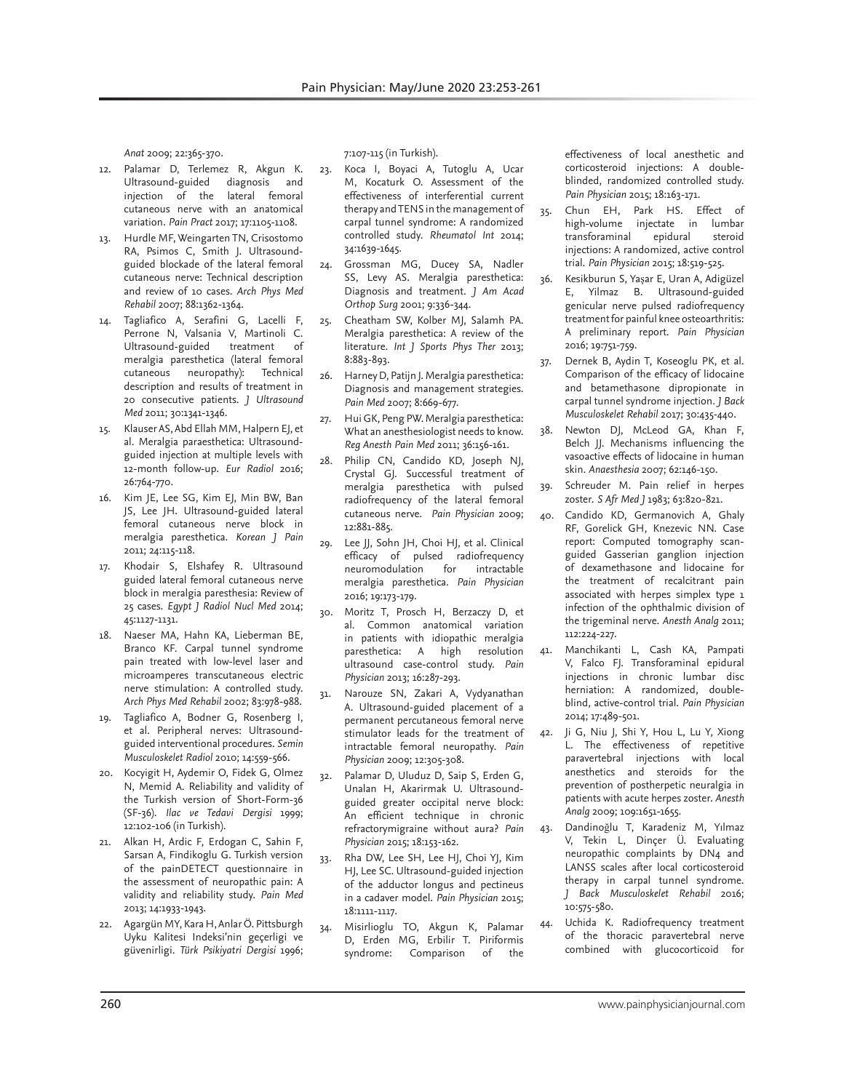*Anat* 2009; 22:365-370.

- 12. Palamar D, Terlemez R, Akgun K. Ultrasound-guided diagnosis and injection of the lateral femoral cutaneous nerve with an anatomical variation. *Pain Pract* 2017; 17:1105-1108.
- 13. Hurdle MF, Weingarten TN, Crisostomo RA, Psimos C, Smith J. Ultrasoundguided blockade of the lateral femoral cutaneous nerve: Technical description and review of 10 cases. *Arch Phys Med Rehabil* 2007; 88:1362-1364.
- 14. Tagliafico A, Serafini G, Lacelli F, Perrone N, Valsania V, Martinoli C.<br>Ultrasound-guided treatment of Ultrasound-guided treatment meralgia paresthetica (lateral femoral cutaneous neuropathy): Technical description and results of treatment in 20 consecutive patients. *J Ultrasound Med* 2011; 30:1341-1346.
- 15. Klauser AS, Abd Ellah MM, Halpern EJ, et al. Meralgia paraesthetica: Ultrasoundguided injection at multiple levels with 12-month follow-up. *Eur Radiol* 2016; 26:764-770.
- 16. Kim JE, Lee SG, Kim EJ, Min BW, Ban JS, Lee JH. Ultrasound-guided lateral femoral cutaneous nerve block in meralgia paresthetica. *Korean J Pain* 2011; 24:115-118.
- 17. Khodair S, Elshafey R. Ultrasound guided lateral femoral cutaneous nerve block in meralgia paresthesia: Review of 25 cases. *Egypt J Radiol Nucl Med* 2014; 45:1127-1131.
- 18. Naeser MA, Hahn KA, Lieberman BE, Branco KF. Carpal tunnel syndrome pain treated with low-level laser and microamperes transcutaneous electric nerve stimulation: A controlled study. *Arch Phys Med Rehabil* 2002; 83:978-988.
- 19. Tagliafico A, Bodner G, Rosenberg I, et al. Peripheral nerves: Ultrasoundguided interventional procedures. *Semin Musculoskelet Radiol* 2010; 14:559-566.
- 20. Kocyigit H, Aydemir O, Fidek G, Olmez N, Memid A. Reliability and validity of the Turkish version of Short-Form-36 (SF-36). *Ilac ve Tedavi Dergisi* 1999; 12:102-106 (in Turkish).
- 21. Alkan H, Ardic F, Erdogan C, Sahin F, Sarsan A, Findikoglu G. Turkish version of the painDETECT questionnaire in the assessment of neuropathic pain: A validity and reliability study. *Pain Med* 2013; 14:1933-1943.
- 22. Agargün MY, Kara H, Anlar Ö. Pittsburgh Uyku Kalitesi Indeksi'nin geçerligi ve güvenirligi. *Türk Psikiyatri Dergisi* 1996;

7:107-115 (in Turkish).

- 23. Koca I, Boyaci A, Tutoglu A, Ucar M, Kocaturk O. Assessment of the effectiveness of interferential current therapy and TENS in the management of carpal tunnel syndrome: A randomized controlled study. *Rheumatol Int* 2014; 34:1639-1645.
- 24. Grossman MG, Ducey SA, Nadler SS, Levy AS. Meralgia paresthetica: Diagnosis and treatment. *J Am Acad Orthop Surg* 2001; 9:336-344.
- 25. Cheatham SW, Kolber MJ, Salamh PA. Meralgia paresthetica: A review of the literature. *Int J Sports Phys Ther* 2013; 8:883-893.
- 26. Harney D, Patijn J. Meralgia paresthetica: Diagnosis and management strategies. *Pain Med* 2007; 8:669-677.
- 27. Hui GK, Peng PW. Meralgia paresthetica: What an anesthesiologist needs to know. *Reg Anesth Pain Med* 2011; 36:156-161.
- 28. Philip CN, Candido KD, Joseph NJ, Crystal GJ. Successful treatment of meralgia paresthetica with pulsed radiofrequency of the lateral femoral cutaneous nerve. *Pain Physician* 2009; 12:881-885.
- 29. Lee JJ, Sohn JH, Choi HJ, et al. Clinical efficacy of pulsed radiofrequency neuromodulation for intractable meralgia paresthetica. *Pain Physician*  2016; 19:173-179.
- 30. Moritz T, Prosch H, Berzaczy D, et al. Common anatomical variation in patients with idiopathic meralgia paresthetica: A high resolution ultrasound case-control study. *Pain Physician* 2013; 16:287-293.
- Narouze SN, Zakari A, Vydyanathan A. Ultrasound-guided placement of a permanent percutaneous femoral nerve stimulator leads for the treatment of intractable femoral neuropathy. *Pain Physician* 2009; 12:305-308.
- 32. Palamar D, Uluduz D, Saip S, Erden G, Unalan H, Akarirmak U. Ultrasoundguided greater occipital nerve block: An efficient technique in chronic refractorymigraine without aura? *Pain Physician* 2015; 18:153-162.
- 33. Rha DW, Lee SH, Lee HJ, Choi YJ, Kim HJ, Lee SC. Ultrasound-guided injection of the adductor longus and pectineus in a cadaver model. *Pain Physician* 2015; 18:1111-1117.
- 34. Misirlioglu TO, Akgun K, Palamar D, Erden MG, Erbilir T. Piriformis<br>syndrome: Comparison of the Comparison of

effectiveness of local anesthetic and corticosteroid injections: A doubleblinded, randomized controlled study. *Pain Physician* 2015; 18:163-171.

- 35. Chun EH, Park HS. Effect of high-volume injectate in lumbar transforaminal epidural steroid injections: A randomized, active control trial. *Pain Physician* 2015; 18:519-525.
- 36. Kesikburun S, Yaşar E, Uran A, Adigüzel E, Yilmaz B. Ultrasound-guided genicular nerve pulsed radiofrequency treatment for painful knee osteoarthritis: A preliminary report. *Pain Physician* 2016; 19:751-759.
- 37. Dernek B, Aydin T, Koseoglu PK, et al. Comparison of the efficacy of lidocaine and betamethasone dipropionate in carpal tunnel syndrome injection. *J Back Musculoskelet Rehabil* 2017; 30:435-440.
- 38. Newton DJ, McLeod GA, Khan F, Belch JJ. Mechanisms influencing the vasoactive effects of lidocaine in human skin. *Anaesthesia* 2007; 62:146-150.
- 39. Schreuder M. Pain relief in herpes zoster. *S Afr Med J* 1983; 63:820-821.
- 40. Candido KD, Germanovich A, Ghaly RF, Gorelick GH, Knezevic NN. Case report: Computed tomography scanguided Gasserian ganglion injection of dexamethasone and lidocaine for the treatment of recalcitrant pain associated with herpes simplex type 1 infection of the ophthalmic division of the trigeminal nerve. *Anesth Analg* 2011; 112:224-227.
- 41. Manchikanti L, Cash KA, Pampati V, Falco FJ. Transforaminal epidural injections in chronic lumbar disc herniation: A randomized, doubleblind, active-control trial. *Pain Physician* 2014; 17:489-501.
- 42. Ji G, Niu J, Shi Y, Hou L, Lu Y, Xiong L. The effectiveness of repetitive paravertebral injections with local anesthetics and steroids for the prevention of postherpetic neuralgia in patients with acute herpes zoster. *Anesth Analg* 2009; 109:1651-1655.
- 43. Dandinoğlu T, Karadeniz M, Yılmaz V, Tekin L, Dinçer Ü. Evaluating neuropathic complaints by DN4 and LANSS scales after local corticosteroid therapy in carpal tunnel syndrome. *J Back Musculoskelet Rehabil* 2016; 10:575-580.
- 44. Uchida K. Radiofrequency treatment of the thoracic paravertebral nerve combined with glucocorticoid for